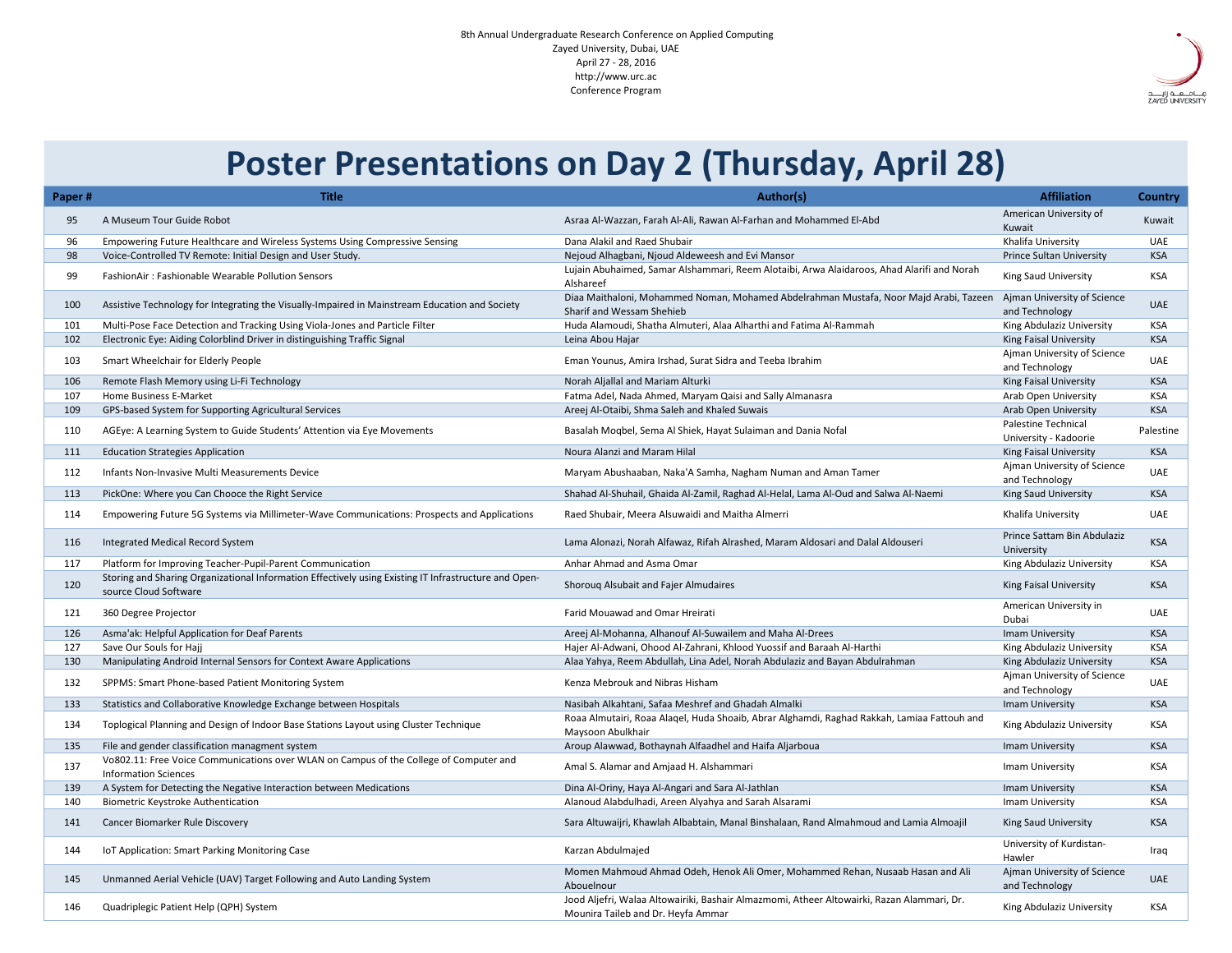| Paper#      | <b>Title</b>                                                                                                                   | Author(s)                                                                                                                        | <b>Affiliation</b>                                  | <b>Country</b> |
|-------------|--------------------------------------------------------------------------------------------------------------------------------|----------------------------------------------------------------------------------------------------------------------------------|-----------------------------------------------------|----------------|
| 95          | A Museum Tour Guide Robot                                                                                                      | Asraa Al-Wazzan, Farah Al-Ali, Rawan Al-Farhan and Mohammed El-Abd                                                               | American University of                              | Kuwait         |
|             |                                                                                                                                |                                                                                                                                  | Kuwait                                              |                |
| 96          | Empowering Future Healthcare and Wireless Systems Using Compressive Sensing                                                    | Dana Alakil and Raed Shubair                                                                                                     | Khalifa University                                  | <b>UAE</b>     |
| 98          | Voice-Controlled TV Remote: Initial Design and User Study.                                                                     | Nejoud Alhagbani, Njoud Aldeweesh and Evi Mansor                                                                                 | <b>Prince Sultan University</b>                     | <b>KSA</b>     |
| 99          | <b>FashionAir: Fashionable Wearable Pollution Sensors</b>                                                                      | Lujain Abuhaimed, Samar Alshammari, Reem Alotaibi, Arwa Alaidaroos, Ahad Alarifi and Norah<br>Alshareef                          | <b>King Saud University</b>                         | <b>KSA</b>     |
| 100         | Assistive Technology for Integrating the Visually-Impaired in Mainstream Education and Society                                 | Diaa Maithaloni, Mohammed Noman, Mohamed Abdelrahman Mustafa, Noor Majd Arabi, Tazeen<br>Sharif and Wessam Shehieb               | Ajman University of Science<br>and Technology       | <b>UAE</b>     |
| <u> 101</u> | Multi-Pose Face Detection and Tracking Using Viola-Jones and Particle Filter                                                   | Huda Alamoudi, Shatha Almuteri, Alaa Alharthi and Fatima Al-Rammah                                                               | King Abdulaziz University                           | <b>KSA</b>     |
| 102         | Electronic Eye: Aiding Colorblind Driver in distinguishing Traffic Signal                                                      | Leina Abou Hajar                                                                                                                 | <b>King Faisal University</b>                       | <b>KSA</b>     |
| 103         | <b>Smart Wheelchair for Elderly People</b>                                                                                     | Eman Younus, Amira Irshad, Surat Sidra and Teeba Ibrahim                                                                         | Ajman University of Science<br>and Technology       | <b>UAE</b>     |
| 106         | Remote Flash Memory using Li-Fi Technology                                                                                     | Norah Aljallal and Mariam Alturki                                                                                                | <b>King Faisal University</b>                       | <b>KSA</b>     |
| 107         | Home Business E-Market                                                                                                         | Fatma Adel, Nada Ahmed, Maryam Qaisi and Sally Almanasra                                                                         | <b>Arab Open University</b>                         | <b>KSA</b>     |
| 109         | GPS-based System for Supporting Agricultural Services                                                                          | Areej Al-Otaibi, Shma Saleh and Khaled Suwais                                                                                    | <b>Arab Open University</b>                         | <b>KSA</b>     |
| 110         | AGEye: A Learning System to Guide Students' Attention via Eye Movements                                                        | Basalah Moqbel, Sema Al Shiek, Hayat Sulaiman and Dania Nofal                                                                    | <b>Palestine Technical</b><br>University - Kadoorie | Palestine      |
| 111         | <b>Education Strategies Application</b>                                                                                        | Noura Alanzi and Maram Hilal                                                                                                     | <b>King Faisal University</b>                       | <b>KSA</b>     |
| 112         | Infants Non-Invasive Multi Measurements Device                                                                                 | Maryam Abushaaban, Naka'A Samha, Nagham Numan and Aman Tamer                                                                     | Ajman University of Science<br>and Technology       | <b>UAE</b>     |
| 113         | PickOne: Where you Can Chooce the Right Service                                                                                | Shahad Al-Shuhail, Ghaida Al-Zamil, Raghad Al-Helal, Lama Al-Oud and Salwa Al-Naemi                                              | <b>King Saud University</b>                         | <b>KSA</b>     |
| 114         | Empowering Future 5G Systems via Millimeter-Wave Communications: Prospects and Applications                                    | Raed Shubair, Meera Alsuwaidi and Maitha Almerri                                                                                 | Khalifa University                                  | <b>UAE</b>     |
| 116         | Integrated Medical Record System                                                                                               | Lama Alonazi, Norah Alfawaz, Rifah Alrashed, Maram Aldosari and Dalal Aldouseri                                                  | Prince Sattam Bin Abdulaziz<br>University           | <b>KSA</b>     |
| 117         | Platform for Improving Teacher-Pupil-Parent Communication                                                                      | Anhar Ahmad and Asma Omar                                                                                                        | King Abdulaziz University                           | <b>KSA</b>     |
| 120         | Storing and Sharing Organizational Information Effectively using Existing IT Infrastructure and Open-<br>source Cloud Software | Shorouq Alsubait and Fajer Almudaires                                                                                            | <b>King Faisal University</b>                       | <b>KSA</b>     |
| 121         | 360 Degree Projector                                                                                                           | <b>Farid Mouawad and Omar Hreirati</b>                                                                                           | American University in<br>Dubai                     | <b>UAE</b>     |
| 126         | Asma'ak: Helpful Application for Deaf Parents                                                                                  | Areej Al-Mohanna, Alhanouf Al-Suwailem and Maha Al-Drees                                                                         | <b>Imam University</b>                              | <b>KSA</b>     |
| 127         | Save Our Souls for Hajj                                                                                                        | Hajer Al-Adwani, Ohood Al-Zahrani, Khlood Yuossif and Baraah Al-Harthi                                                           | King Abdulaziz University                           | <b>KSA</b>     |
| 130         | Manipulating Android Internal Sensors for Context Aware Applications                                                           | Alaa Yahya, Reem Abdullah, Lina Adel, Norah Abdulaziz and Bayan Abdulrahman                                                      | King Abdulaziz University                           | <b>KSA</b>     |
| 132         | SPPMS: Smart Phone-based Patient Monitoring System                                                                             | Kenza Mebrouk and Nibras Hisham                                                                                                  | Ajman University of Science<br>and Technology       | <b>UAE</b>     |
| 133         | Statistics and Collaborative Knowledge Exchange between Hospitals                                                              | Nasibah Alkahtani, Safaa Meshref and Ghadah Almalki                                                                              | <b>Imam University</b>                              | <b>KSA</b>     |
| 134         | Toplogical Planning and Design of Indoor Base Stations Layout using Cluster Technique                                          | Roaa Almutairi, Roaa Alaqel, Huda Shoaib, Abrar Alghamdi, Raghad Rakkah, Lamiaa Fattouh and<br>Maysoon Abulkhair                 | King Abdulaziz University                           | <b>KSA</b>     |
| 135         | File and gender classification managment system                                                                                | Aroup Alawwad, Bothaynah Alfaadhel and Haifa Aljarboua                                                                           | <b>Imam University</b>                              | <b>KSA</b>     |
| 137         | Vo802.11: Free Voice Communications over WLAN on Campus of the College of Computer and<br><b>Information Sciences</b>          | Amal S. Alamar and Amjaad H. Alshammari                                                                                          | <b>Imam University</b>                              | KSA            |
| 139         | A System for Detecting the Negative Interaction between Medications                                                            | Dina Al-Oriny, Haya Al-Angari and Sara Al-Jathlan                                                                                | <b>Imam University</b>                              | <b>KSA</b>     |
| 140         | <b>Biometric Keystroke Authentication</b>                                                                                      | Alanoud Alabdulhadi, Areen Alyahya and Sarah Alsarami                                                                            | Imam University                                     | <b>KSA</b>     |
| 141         | <b>Cancer Biomarker Rule Discovery</b>                                                                                         | Sara Altuwaijri, Khawlah Albabtain, Manal Binshalaan, Rand Almahmoud and Lamia Almoajil                                          | <b>King Saud University</b>                         | <b>KSA</b>     |
| 144         | IoT Application: Smart Parking Monitoring Case                                                                                 | Karzan Abdulmajed                                                                                                                | University of Kurdistan-<br>Hawler                  | Iraq           |
| 145         | Unmanned Aerial Vehicle (UAV) Target Following and Auto Landing System                                                         | Momen Mahmoud Ahmad Odeh, Henok Ali Omer, Mohammed Rehan, Nusaab Hasan and Ali<br>Abouelnour                                     | Ajman University of Science<br>and Technology       | <b>UAE</b>     |
| 146         | Quadriplegic Patient Help (QPH) System                                                                                         | Jood Aljefri, Walaa Altowairiki, Bashair Almazmomi, Atheer Altowairki, Razan Alammari, Dr.<br>Mounira Taileb and Dr. Heyfa Ammar | King Abdulaziz University                           | <b>KSA</b>     |



## **Poster Presentations on Day 2 (Thursday, April 28)**